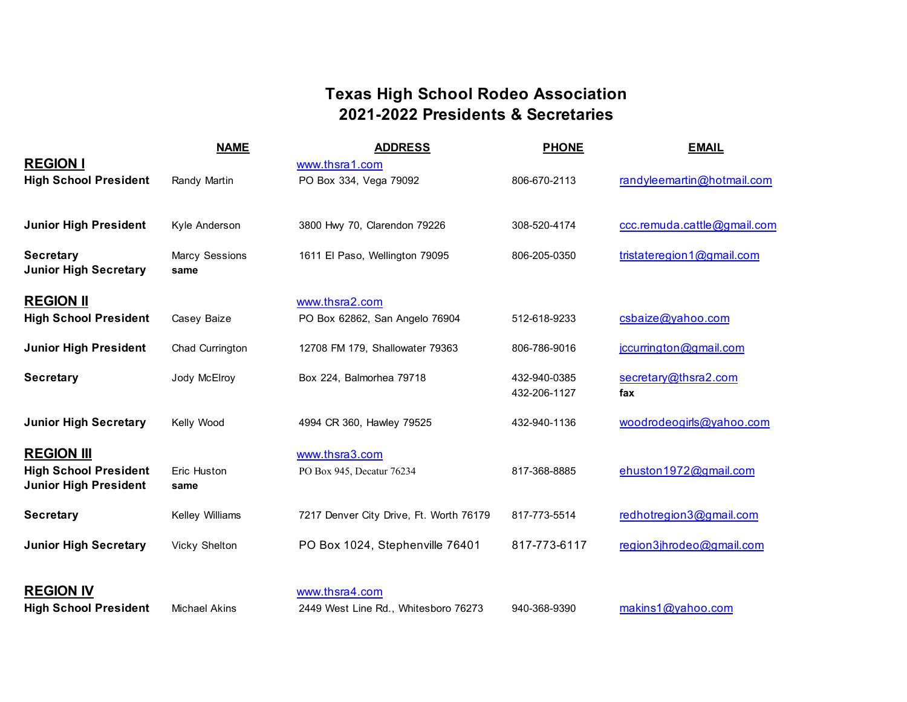# **Texas High School Rodeo Association 2021-2022 Presidents & Secretaries**

|                                                              | <b>NAME</b>            | <b>ADDRESS</b>                          | <b>PHONE</b> | <b>EMAIL</b>                |
|--------------------------------------------------------------|------------------------|-----------------------------------------|--------------|-----------------------------|
| <b>REGION I</b>                                              |                        | www.thsra1.com                          |              |                             |
| <b>High School President</b>                                 | Randy Martin           | PO Box 334, Vega 79092                  | 806-670-2113 | randyleemartin@hotmail.com  |
|                                                              |                        |                                         |              |                             |
| <b>Junior High President</b>                                 | Kyle Anderson          | 3800 Hwy 70, Clarendon 79226            | 308-520-4174 | ccc.remuda.cattle@gmail.com |
| <b>Secretary</b><br><b>Junior High Secretary</b>             | Marcy Sessions<br>same | 1611 El Paso, Wellington 79095          | 806-205-0350 | tristateregion1@gmail.com   |
| <b>REGION II</b>                                             |                        | www.thsra2.com                          |              |                             |
| <b>High School President</b>                                 | Casey Baize            | PO Box 62862, San Angelo 76904          | 512-618-9233 | csbaize@yahoo.com           |
| <b>Junior High President</b>                                 | Chad Currington        | 12708 FM 179, Shallowater 79363         | 806-786-9016 | jccurrington@gmail.com      |
| <b>Secretary</b>                                             | Jody McElroy           | Box 224, Balmorhea 79718                | 432-940-0385 | secretary@thsra2.com        |
|                                                              |                        |                                         | 432-206-1127 | fax                         |
| <b>Junior High Secretary</b>                                 | Kelly Wood             | 4994 CR 360, Hawley 79525               | 432-940-1136 | woodrodeogirls@yahoo.com    |
| <b>REGION III</b>                                            |                        | www.thsra3.com                          |              |                             |
| <b>High School President</b><br><b>Junior High President</b> | Eric Huston<br>same    | PO Box 945, Decatur 76234               | 817-368-8885 | ehuston1972@gmail.com       |
| <b>Secretary</b>                                             | Kelley Williams        | 7217 Denver City Drive, Ft. Worth 76179 | 817-773-5514 | redhotregion3@gmail.com     |
| <b>Junior High Secretary</b>                                 | Vicky Shelton          | PO Box 1024, Stephenville 76401         | 817-773-6117 | region3jhrodeo@gmail.com    |
|                                                              |                        |                                         |              |                             |
| <b>REGION IV</b>                                             |                        | www.thsra4.com                          |              |                             |
| <b>High School President</b>                                 | <b>Michael Akins</b>   | 2449 West Line Rd., Whitesboro 76273    | 940-368-9390 | makins1@yahoo.com           |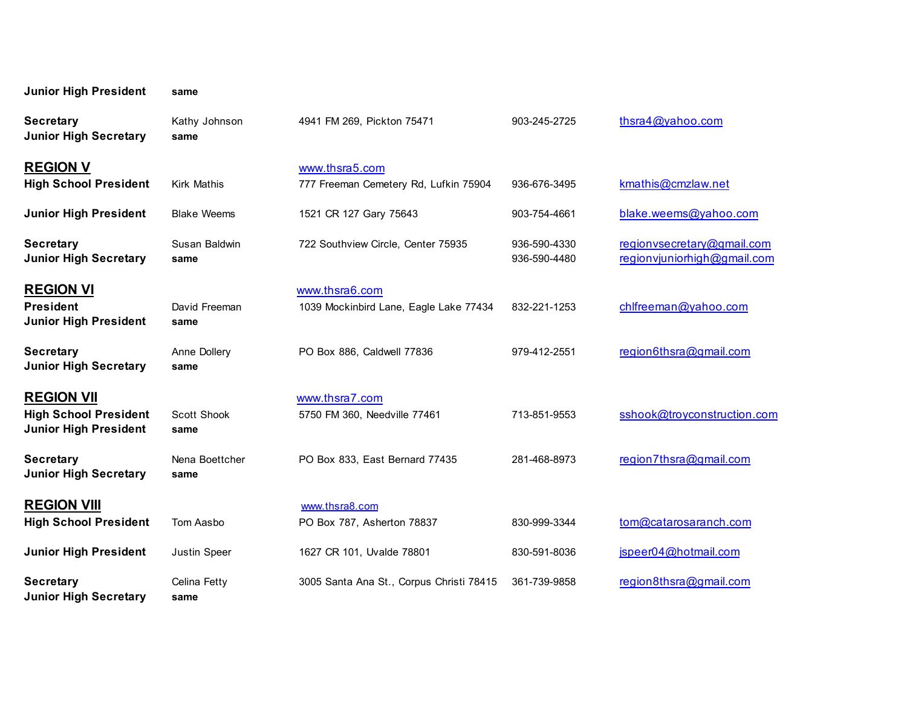| <b>Junior High President</b>                                                      | same                       |                                                          |                              |                                                           |
|-----------------------------------------------------------------------------------|----------------------------|----------------------------------------------------------|------------------------------|-----------------------------------------------------------|
| <b>Secretary</b><br><b>Junior High Secretary</b>                                  | Kathy Johnson<br>same      | 4941 FM 269, Pickton 75471                               | 903-245-2725                 | thsra4@yahoo.com                                          |
| <b>REGION V</b><br><b>High School President</b>                                   | <b>Kirk Mathis</b>         | www.thsra5.com<br>777 Freeman Cemetery Rd, Lufkin 75904  | 936-676-3495                 | kmathis@cmzlaw.net                                        |
| <b>Junior High President</b>                                                      | <b>Blake Weems</b>         | 1521 CR 127 Gary 75643                                   | 903-754-4661                 | blake.weems@yahoo.com                                     |
| <b>Secretary</b><br><b>Junior High Secretary</b>                                  | Susan Baldwin<br>same      | 722 Southview Circle, Center 75935                       | 936-590-4330<br>936-590-4480 | regionvsecretary@gmail.com<br>regionvjuniorhigh@gmail.com |
| <b>REGION VI</b><br><b>President</b><br><b>Junior High President</b>              | David Freeman<br>same      | www.thsra6.com<br>1039 Mockinbird Lane, Eagle Lake 77434 | 832-221-1253                 | chlfreeman@yahoo.com                                      |
| <b>Secretary</b><br><b>Junior High Secretary</b>                                  | Anne Dollery<br>same       | PO Box 886, Caldwell 77836                               | 979-412-2551                 | region6thsra@gmail.com                                    |
| <b>REGION VII</b><br><b>High School President</b><br><b>Junior High President</b> | <b>Scott Shook</b><br>same | www.thsra7.com<br>5750 FM 360, Needville 77461           | 713-851-9553                 | sshook@troyconstruction.com                               |
| <b>Secretary</b><br><b>Junior High Secretary</b>                                  | Nena Boettcher<br>same     | PO Box 833, East Bernard 77435                           | 281-468-8973                 | region7thsra@gmail.com                                    |
| <b>REGION VIII</b><br><b>High School President</b>                                | Tom Aasbo                  | www.thsra8.com<br>PO Box 787, Asherton 78837             | 830-999-3344                 | tom@catarosaranch.com                                     |
| <b>Junior High President</b>                                                      | Justin Speer               | 1627 CR 101, Uvalde 78801                                | 830-591-8036                 | jspeer04@hotmail.com                                      |
| <b>Secretary</b><br><b>Junior High Secretary</b>                                  | Celina Fetty<br>same       | 3005 Santa Ana St., Corpus Christi 78415                 | 361-739-9858                 | region8thsra@gmail.com                                    |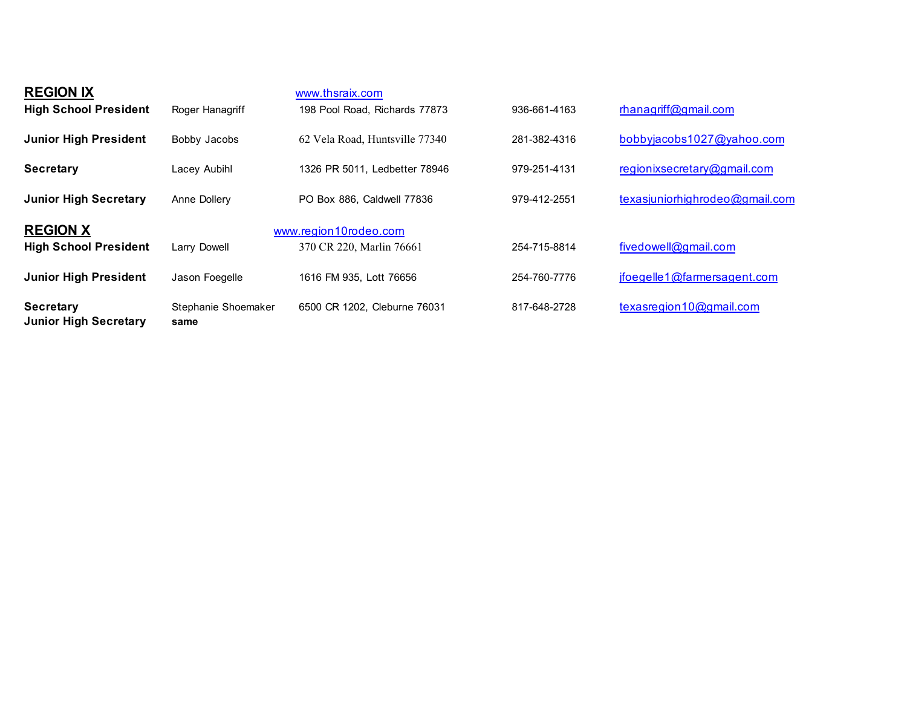| <b>Secretary</b><br><b>Junior High Secretary</b> | Stephanie Shoemaker<br>same | 6500 CR 1202. Cleburne 76031                      | 817-648-2728 | texasregion10@gmail.com        |
|--------------------------------------------------|-----------------------------|---------------------------------------------------|--------------|--------------------------------|
| <b>Junior High President</b>                     | Jason Foegelle              | 1616 FM 935, Lott 76656                           | 254-760-7776 | jfoegelle1@farmersagent.com    |
| <b>REGION X</b><br><b>High School President</b>  | Larry Dowell                | www.region10rodeo.com<br>370 CR 220, Marlin 76661 | 254-715-8814 | fivedowell@gmail.com           |
| <b>Junior High Secretary</b>                     | Anne Dollery                | PO Box 886, Caldwell 77836                        | 979-412-2551 | texasjuniorhighrodeo@gmail.com |
| <b>Secretary</b>                                 | Lacey Aubihl                | 1326 PR 5011, Ledbetter 78946                     | 979-251-4131 | regionixsecretary@gmail.com    |
| <b>Junior High President</b>                     | Bobby Jacobs                | 62 Vela Road, Huntsville 77340                    | 281-382-4316 | bobbyjacobs1027@yahoo.com      |
| <b>REGION IX</b><br><b>High School President</b> | Roger Hanagriff             | www.thsraix.com<br>198 Pool Road, Richards 77873  | 936-661-4163 | rhanagriff@gmail.com           |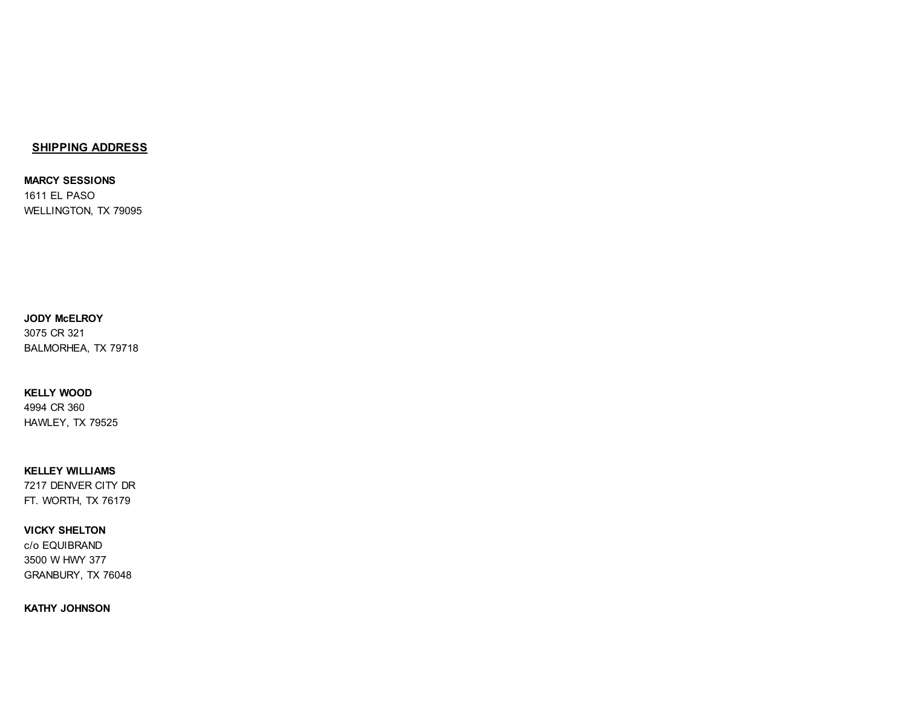### **SHIPPING ADDRESS**

**MARCY SESSIONS** 1611 EL PASO WELLINGTON, TX 79095

#### **JODY McELROY** 3075 CR 321

BALMORHEA, TX 79718

# **KELLY WOOD**

4994 CR 360 HAWLEY, TX 79525

# **KELLEY WILLIAMS**

7217 DENVER CITY DR FT. WORTH, TX 76179

### **VICKY SHELTON**

c/o EQUIBRAND 3500 W HWY 377 GRANBURY, TX 76048

**KATHY JOHNSON**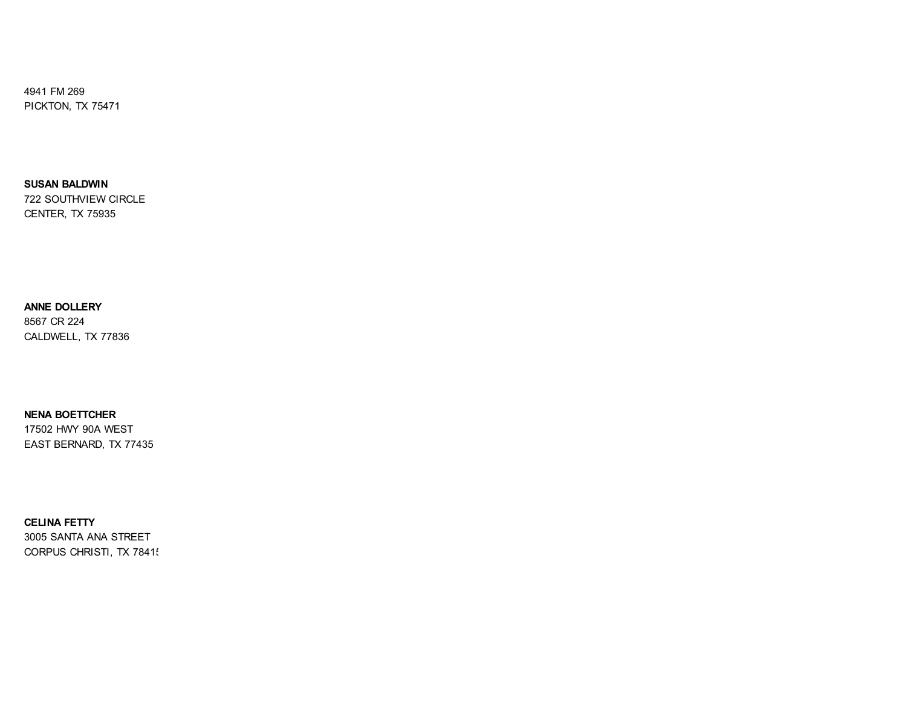4941 FM 269 PICKTON, TX 75471

**SUSAN BALDWIN** 722 SOUTHVIEW CIRCLE CENTER, TX 75935

**ANNE DOLLERY** 8567 CR 224 CALDWELL, TX 77836

**NENA BOETTCHER** 17502 HWY 90A WEST EAST BERNARD, TX 77435

**CELINA FETTY** 3005 SANTA ANA STREET CORPUS CHRISTI, TX 7841!